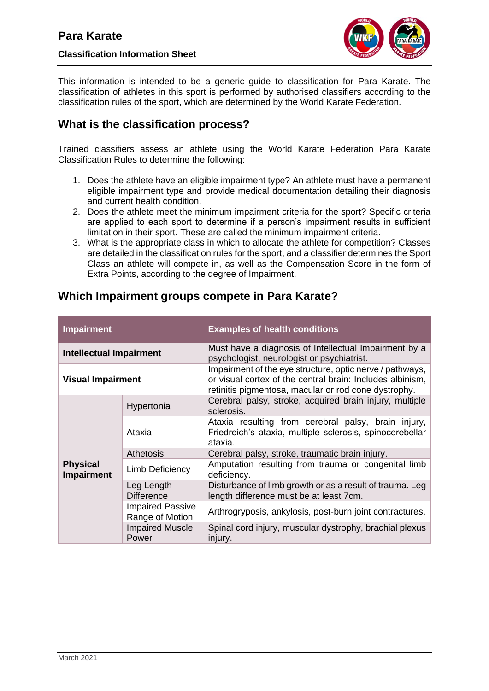

This information is intended to be a generic guide to classification for Para Karate. The classification of athletes in this sport is performed by authorised classifiers according to the classification rules of the sport, which are determined by the World Karate Federation.

# **What is the classification process?**

Trained classifiers assess an athlete using the World Karate Federation Para Karate Classification Rules to determine the following:

- 1. Does the athlete have an eligible impairment type? An athlete must have a permanent eligible impairment type and provide medical documentation detailing their diagnosis and current health condition.
- 2. Does the athlete meet the minimum impairment criteria for the sport? Specific criteria are applied to each sport to determine if a person's impairment results in sufficient limitation in their sport. These are called the minimum impairment criteria.
- 3. What is the appropriate class in which to allocate the athlete for competition? Classes are detailed in the classification rules for the sport, and a classifier determines the Sport Class an athlete will compete in, as well as the Compensation Score in the form of Extra Points, according to the degree of Impairment.

| <b>Impairment</b>                    |                                            | <b>Examples of health conditions</b>                                                                                                                                          |
|--------------------------------------|--------------------------------------------|-------------------------------------------------------------------------------------------------------------------------------------------------------------------------------|
| <b>Intellectual Impairment</b>       |                                            | Must have a diagnosis of Intellectual Impairment by a<br>psychologist, neurologist or psychiatrist.                                                                           |
| <b>Visual Impairment</b>             |                                            | Impairment of the eye structure, optic nerve / pathways,<br>or visual cortex of the central brain: Includes albinism,<br>retinitis pigmentosa, macular or rod cone dystrophy. |
| <b>Physical</b><br><b>Impairment</b> | Hypertonia                                 | Cerebral palsy, stroke, acquired brain injury, multiple<br>sclerosis.                                                                                                         |
|                                      | Ataxia                                     | Ataxia resulting from cerebral palsy, brain injury,<br>Friedreich's ataxia, multiple sclerosis, spinocerebellar<br>ataxia.                                                    |
|                                      | <b>Athetosis</b>                           | Cerebral palsy, stroke, traumatic brain injury.                                                                                                                               |
|                                      | <b>Limb Deficiency</b>                     | Amputation resulting from trauma or congenital limb<br>deficiency.                                                                                                            |
|                                      | Leg Length<br><b>Difference</b>            | Disturbance of limb growth or as a result of trauma. Leg<br>length difference must be at least 7cm.                                                                           |
|                                      | <b>Impaired Passive</b><br>Range of Motion | Arthrogryposis, ankylosis, post-burn joint contractures.                                                                                                                      |
|                                      | <b>Impaired Muscle</b><br>Power            | Spinal cord injury, muscular dystrophy, brachial plexus<br>injury.                                                                                                            |

# **Which Impairment groups compete in Para Karate?**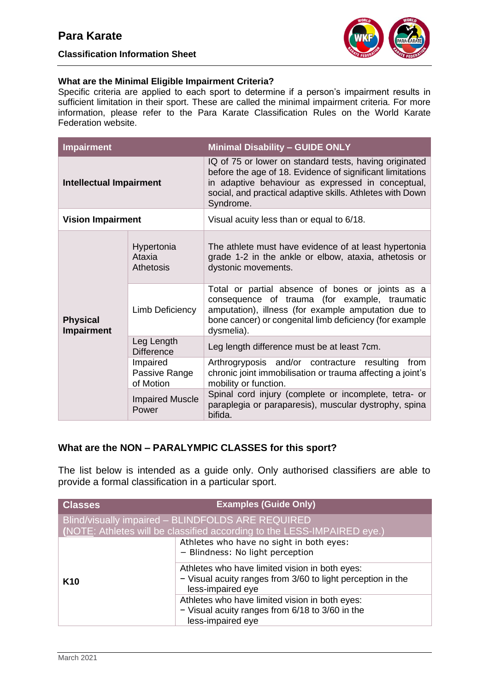**Classification Information Sheet**



#### **What are the Minimal Eligible Impairment Criteria?**

Specific criteria are applied to each sport to determine if a person's impairment results in sufficient limitation in their sport. These are called the minimal impairment criteria. For more information, please refer to the Para Karate Classification Rules on the World Karate Federation website.

| <b>Impairment</b>                    |                                          | <b>Minimal Disability - GUIDE ONLY</b>                                                                                                                                                                                                             |
|--------------------------------------|------------------------------------------|----------------------------------------------------------------------------------------------------------------------------------------------------------------------------------------------------------------------------------------------------|
| <b>Intellectual Impairment</b>       |                                          | IQ of 75 or lower on standard tests, having originated<br>before the age of 18. Evidence of significant limitations<br>in adaptive behaviour as expressed in conceptual,<br>social, and practical adaptive skills. Athletes with Down<br>Syndrome. |
| <b>Vision Impairment</b>             |                                          | Visual acuity less than or equal to 6/18.                                                                                                                                                                                                          |
| <b>Physical</b><br><b>Impairment</b> | Hypertonia<br>Ataxia<br><b>Athetosis</b> | The athlete must have evidence of at least hypertonia<br>grade 1-2 in the ankle or elbow, ataxia, athetosis or<br>dystonic movements.                                                                                                              |
|                                      | Limb Deficiency                          | Total or partial absence of bones or joints as a<br>consequence of trauma (for example, traumatic<br>amputation), illness (for example amputation due to<br>bone cancer) or congenital limb deficiency (for example<br>dysmelia).                  |
|                                      | Leg Length<br><b>Difference</b>          | Leg length difference must be at least 7cm.                                                                                                                                                                                                        |
|                                      | Impaired<br>Passive Range<br>of Motion   | Arthrogryposis and/or contracture resulting<br>from<br>chronic joint immobilisation or trauma affecting a joint's<br>mobility or function.                                                                                                         |
|                                      | <b>Impaired Muscle</b><br>Power          | Spinal cord injury (complete or incomplete, tetra- or<br>paraplegia or paraparesis), muscular dystrophy, spina<br>bifida.                                                                                                                          |

### **What are the NON – PARALYMPIC CLASSES for this sport?**

The list below is intended as a guide only. Only authorised classifiers are able to provide a formal classification in a particular sport.

| <b>Classes</b>  | <b>Examples (Guide Only)</b>                                                                                                       |
|-----------------|------------------------------------------------------------------------------------------------------------------------------------|
|                 | Blind/visually impaired - BLINDFOLDS ARE REQUIRED<br>(NOTE: Athletes will be classified according to the LESS-IMPAIRED eye.)       |
|                 | Athletes who have no sight in both eyes:<br>- Blindness: No light perception                                                       |
| K <sub>10</sub> | Athletes who have limited vision in both eyes:<br>- Visual acuity ranges from 3/60 to light perception in the<br>less-impaired eye |
|                 | Athletes who have limited vision in both eyes:<br>- Visual acuity ranges from 6/18 to 3/60 in the<br>less-impaired eye             |